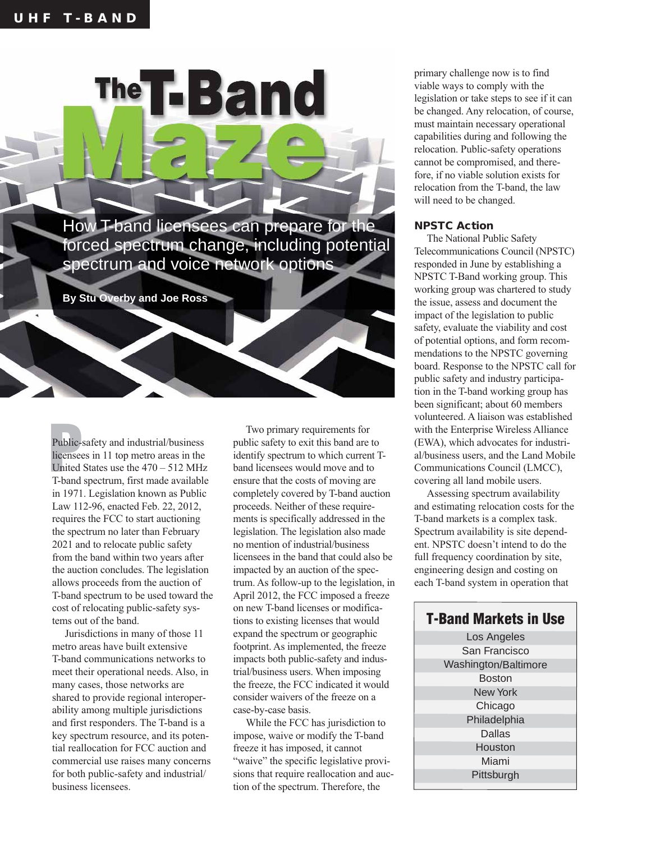How T-band licensees can prepare for the forced spectrum change, including potential spectrum and voice network options

The T-Band

**By Stu Overby and Joe Ross**

Public-<br>
licensee<br>
United<br>
T-band Public-safety and industrial/business licensees in 11 top metro areas in the United States use the 470 – 512 MHz T-band spectrum, first made available in 1971. Legislation known as Public Law 112-96, enacted Feb. 22, 2012, requires the FCC to start auctioning the spectrum no later than February 2021 and to relocate public safety from the band within two years after the auction concludes. The legislation allows proceeds from the auction of T-band spectrum to be used toward the cost of relocating public-safety systems out of the band.

Jurisdictions in many of those 11 metro areas have built extensive T-band communications networks to meet their operational needs. Also, in many cases, those networks are shared to provide regional interoperability among multiple jurisdictions and first responders. The T-band is a key spectrum resource, and its potential reallocation for FCC auction and commercial use raises many concerns for both public-safety and industrial/ business licensees.

Two primary requirements for public safety to exit this band are to identify spectrum to which current Tband licensees would move and to ensure that the costs of moving are completely covered by T-band auction proceeds. Neither of these requirements is specifically addressed in the legislation. The legislation also made no mention of industrial/business licensees in the band that could also be impacted by an auction of the spectrum. As follow-up to the legislation, in April 2012, the FCC imposed a freeze on new T-band licenses or modifications to existing licenses that would expand the spectrum or geographic footprint. As implemented, the freeze impacts both public-safety and industrial/business users. When imposing the freeze, the FCC indicated it would consider waivers of the freeze on a case-by-case basis.

While the FCC has jurisdiction to impose, waive or modify the T-band freeze it has imposed, it cannot "waive" the specific legislative provisions that require reallocation and auction of the spectrum. Therefore, the

primary challenge now is to find viable ways to comply with the legislation or take steps to see if it can be changed. Any relocation, of course, must maintain necessary operational capabilities during and following the relocation. Public-safety operations cannot be compromised, and therefore, if no viable solution exists for relocation from the T-band, the law will need to be changed.

## **NPSTC Action**

The National Public Safety Telecommunications Council (NPSTC) responded in June by establishing a NPSTC T-Band working group. This working group was chartered to study the issue, assess and document the impact of the legislation to public safety, evaluate the viability and cost of potential options, and form recommendations to the NPSTC governing board. Response to the NPSTC call for public safety and industry participation in the T-band working group has been significant; about 60 members volunteered. A liaison was established with the Enterprise Wireless Alliance (EWA), which advocates for industrial/business users, and the Land Mobile Communications Council (LMCC), covering all land mobile users.

Assessing spectrum availability and estimating relocation costs for the T-band markets is a complex task. Spectrum availability is site dependent. NPSTC doesn't intend to do the full frequency coordination by site, engineering design and costing on each T-band system in operation that

## Los Angeles San Francisco Washington/Baltimore Boston New York Chicago Philadelphia **Dallas** Houston Miami **Pittsburgh T-Band Markets in Use**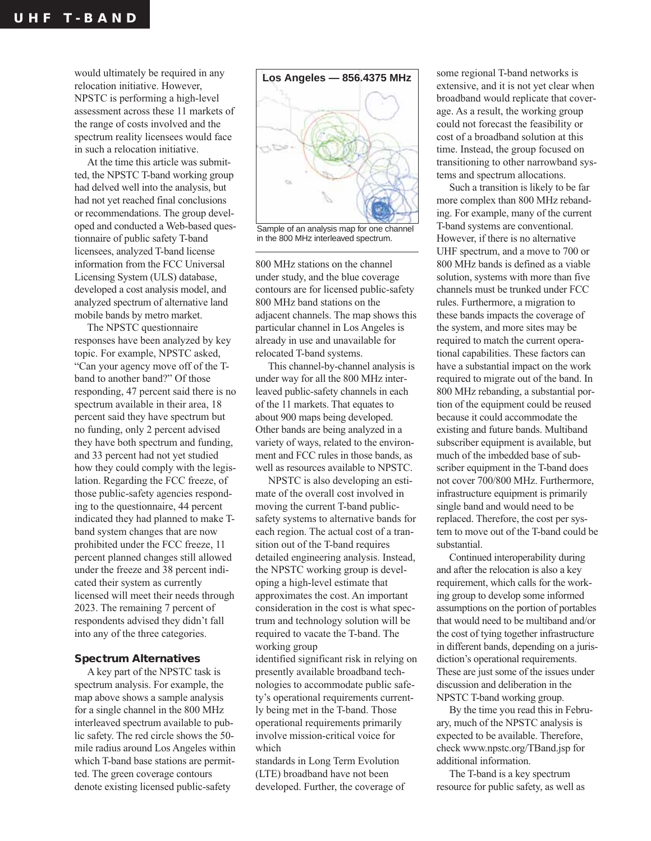would ultimately be required in any relocation initiative. However, NPSTC is performing a high-level assessment across these 11 markets of the range of costs involved and the spectrum reality licensees would face in such a relocation initiative.

At the time this article was submitted, the NPSTC T-band working group had delved well into the analysis, but had not yet reached final conclusions or recommendations. The group developed and conducted a Web-based questionnaire of public safety T-band licensees, analyzed T-band license information from the FCC Universal Licensing System (ULS) database, developed a cost analysis model, and analyzed spectrum of alternative land mobile bands by metro market.

The NPSTC questionnaire responses have been analyzed by key topic. For example, NPSTC asked, "Can your agency move off of the Tband to another band?" Of those responding, 47 percent said there is no spectrum available in their area, 18 percent said they have spectrum but no funding, only 2 percent advised they have both spectrum and funding, and 33 percent had not yet studied how they could comply with the legislation. Regarding the FCC freeze, of those public-safety agencies responding to the questionnaire, 44 percent indicated they had planned to make Tband system changes that are now prohibited under the FCC freeze, 11 percent planned changes still allowed under the freeze and 38 percent indicated their system as currently licensed will meet their needs through 2023. The remaining 7 percent of respondents advised they didn't fall into any of the three categories.

## **Spectrum Alternatives**

A key part of the NPSTC task is spectrum analysis. For example, the map above shows a sample analysis for a single channel in the 800 MHz interleaved spectrum available to public safety. The red circle shows the 50 mile radius around Los Angeles within which T-band base stations are permitted. The green coverage contours denote existing licensed public-safety



Sample of an analysis map for one channel in the 800 MHz interleaved spectrum.

800 MHz stations on the channel under study, and the blue coverage contours are for licensed public-safety 800 MHz band stations on the adjacent channels. The map shows this particular channel in Los Angeles is already in use and unavailable for relocated T-band systems.

This channel-by-channel analysis is under way for all the 800 MHz interleaved public-safety channels in each of the 11 markets. That equates to about 900 maps being developed. Other bands are being analyzed in a variety of ways, related to the environment and FCC rules in those bands, as well as resources available to NPSTC.

NPSTC is also developing an estimate of the overall cost involved in moving the current T-band publicsafety systems to alternative bands for each region. The actual cost of a transition out of the T-band requires detailed engineering analysis. Instead, the NPSTC working group is developing a high-level estimate that approximates the cost. An important consideration in the cost is what spectrum and technology solution will be required to vacate the T-band. The working group

identified significant risk in relying on presently available broadband technologies to accommodate public safety's operational requirements currently being met in the T-band. Those operational requirements primarily involve mission-critical voice for which

standards in Long Term Evolution (LTE) broadband have not been developed. Further, the coverage of some regional T-band networks is extensive, and it is not yet clear when broadband would replicate that coverage. As a result, the working group could not forecast the feasibility or cost of a broadband solution at this time. Instead, the group focused on transitioning to other narrowband systems and spectrum allocations.

Such a transition is likely to be far more complex than 800 MHz rebanding. For example, many of the current T-band systems are conventional. However, if there is no alternative UHF spectrum, and a move to 700 or 800 MHz bands is defined as a viable solution, systems with more than five channels must be trunked under FCC rules. Furthermore, a migration to these bands impacts the coverage of the system, and more sites may be required to match the current operational capabilities. These factors can have a substantial impact on the work required to migrate out of the band. In 800 MHz rebanding, a substantial portion of the equipment could be reused because it could accommodate the existing and future bands. Multiband subscriber equipment is available, but much of the imbedded base of subscriber equipment in the T-band does not cover 700/800 MHz. Furthermore, infrastructure equipment is primarily single band and would need to be replaced. Therefore, the cost per system to move out of the T-band could be substantial.

Continued interoperability during and after the relocation is also a key requirement, which calls for the working group to develop some informed assumptions on the portion of portables that would need to be multiband and/or the cost of tying together infrastructure in different bands, depending on a jurisdiction's operational requirements. These are just some of the issues under discussion and deliberation in the NPSTC T-band working group.

By the time you read this in February, much of the NPSTC analysis is expected to be available. Therefore, check www.npstc.org/TBand.jsp for additional information.

The T-band is a key spectrum resource for public safety, as well as